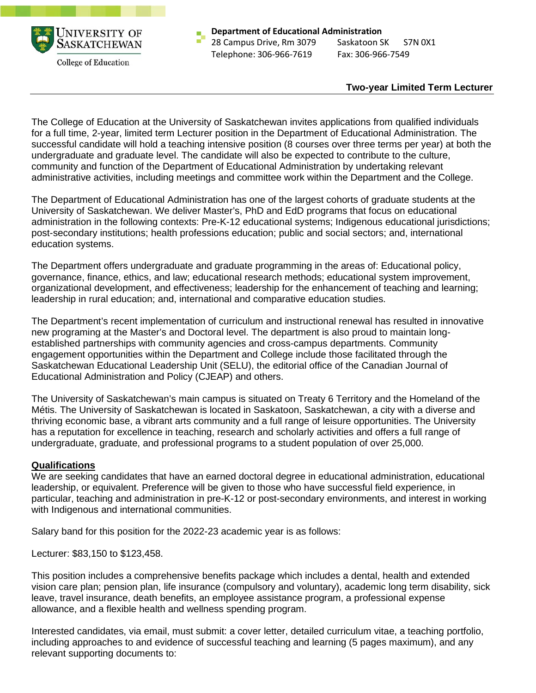

**Department of Educational Administration**  28 Campus Drive, Rm 3079 Saskatoon SK S7N 0X1 Telephone: 306-966-7619 Fax: 306-966-7549

## **Two-year Limited Term Lecturer**

The College of Education at the University of Saskatchewan invites applications from qualified individuals for a full time, 2-year, limited term Lecturer position in the Department of Educational Administration. The successful candidate will hold a teaching intensive position (8 courses over three terms per year) at both the undergraduate and graduate level. The candidate will also be expected to contribute to the culture, community and function of the Department of Educational Administration by undertaking relevant administrative activities, including meetings and committee work within the Department and the College.

The Department of Educational Administration has one of the largest cohorts of graduate students at the University of Saskatchewan. We deliver Master's, PhD and EdD programs that focus on educational administration in the following contexts: Pre-K-12 educational systems; Indigenous educational jurisdictions; post-secondary institutions; health professions education; public and social sectors; and, international education systems.

The Department offers undergraduate and graduate programming in the areas of: Educational policy, governance, finance, ethics, and law; educational research methods; educational system improvement, organizational development, and effectiveness; leadership for the enhancement of teaching and learning; leadership in rural education; and, international and comparative education studies.

The Department's recent implementation of curriculum and instructional renewal has resulted in innovative new programing at the Master's and Doctoral level. The department is also proud to maintain longestablished partnerships with community agencies and cross-campus departments. Community engagement opportunities within the Department and College include those facilitated through the Saskatchewan Educational Leadership Unit (SELU), the editorial office of the Canadian Journal of Educational Administration and Policy (CJEAP) and others.

The University of Saskatchewan's main campus is situated on Treaty 6 Territory and the Homeland of the Métis. The University of Saskatchewan is located in Saskatoon, Saskatchewan, a city with a diverse and thriving economic base, a vibrant arts community and a full range of leisure opportunities. The University has a reputation for excellence in teaching, research and scholarly activities and offers a full range of undergraduate, graduate, and professional programs to a student population of over 25,000.

## **Qualifications**

We are seeking candidates that have an earned doctoral degree in educational administration, educational leadership, or equivalent. Preference will be given to those who have successful field experience, in particular, teaching and administration in pre-K-12 or post-secondary environments, and interest in working with Indigenous and international communities.

Salary band for this position for the 2022-23 academic year is as follows:

Lecturer: \$83,150 to \$123,458.

This position includes a comprehensive benefits package which includes a dental, health and extended vision care plan; pension plan, life insurance (compulsory and voluntary), academic long term disability, sick leave, travel insurance, death benefits, an employee assistance program, a professional expense allowance, and a flexible health and wellness spending program.

Interested candidates, via email, must submit: a cover letter, detailed curriculum vitae, a teaching portfolio, including approaches to and evidence of successful teaching and learning (5 pages maximum), and any relevant supporting documents to: